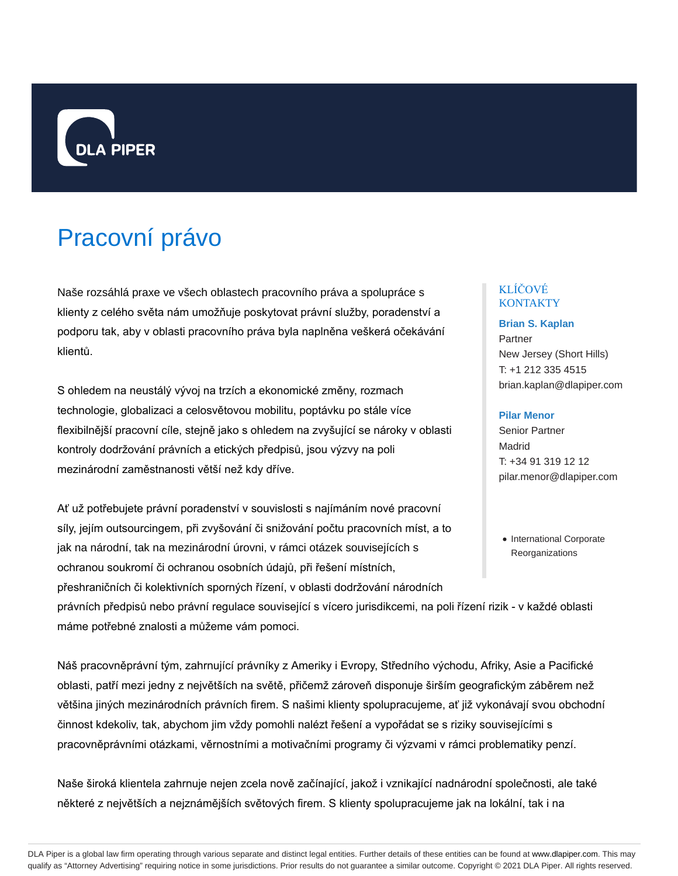

# Pracovní právo

Naše rozsáhlá praxe ve všech oblastech pracovního práva a spolupráce s klienty z celého světa nám umožňuje poskytovat právní služby, poradenství a podporu tak, aby v oblasti pracovního práva byla naplněna veškerá očekávání klientů.

S ohledem na neustálý vývoj na trzích a ekonomické změny, rozmach technologie, globalizaci a celosvětovou mobilitu, poptávku po stále více flexibilnější pracovní cíle, stejně jako s ohledem na zvyšující se nároky v oblasti kontroly dodržování právních a etických předpisů, jsou výzvy na poli mezinárodní zaměstnanosti větší než kdy dříve.

Ať už potřebujete právní poradenství v souvislosti s najímáním nové pracovní síly, jejím outsourcingem, při zvyšování či snižování počtu pracovních míst, a to jak na národní, tak na mezinárodní úrovni, v rámci otázek souvisejících s ochranou soukromí či ochranou osobních údajů, při řešení místních, přeshraničních či kolektivních sporných řízení, v oblasti dodržování národních

právních předpisů nebo právní regulace související s vícero jurisdikcemi, na poli řízení rizik - v každé oblasti máme potřebné znalosti a můžeme vám pomoci.

Náš pracovněprávní tým, zahrnující právníky z Ameriky i Evropy, Středního východu, Afriky, Asie a Pacifické oblasti, patří mezi jedny z největších na světě, přičemž zároveň disponuje širším geografickým záběrem než většina jiných mezinárodních právních firem. S našimi klienty spolupracujeme, ať již vykonávají svou obchodní činnost kdekoliv, tak, abychom jim vždy pomohli nalézt řešení a vypořádat se s riziky souvisejícími s pracovněprávními otázkami, věrnostními a motivačními programy či výzvami v rámci problematiky penzí.

Naše široká klientela zahrnuje nejen zcela nově začínající, jakož i vznikající nadnárodní společnosti, ale také některé z největších a nejznámějších světových firem. S klienty spolupracujeme jak na lokální, tak i na

# KLÍČOVÉ **KONTAKTY**

**Brian S. Kaplan** Partner New Jersey (Short Hills) T: +1 212 335 4515 brian.kaplan@dlapiper.com

# **Pilar Menor**

Senior Partner Madrid T: +34 91 319 12 12 pilar.menor@dlapiper.com

• International Corporate **Reorganizations**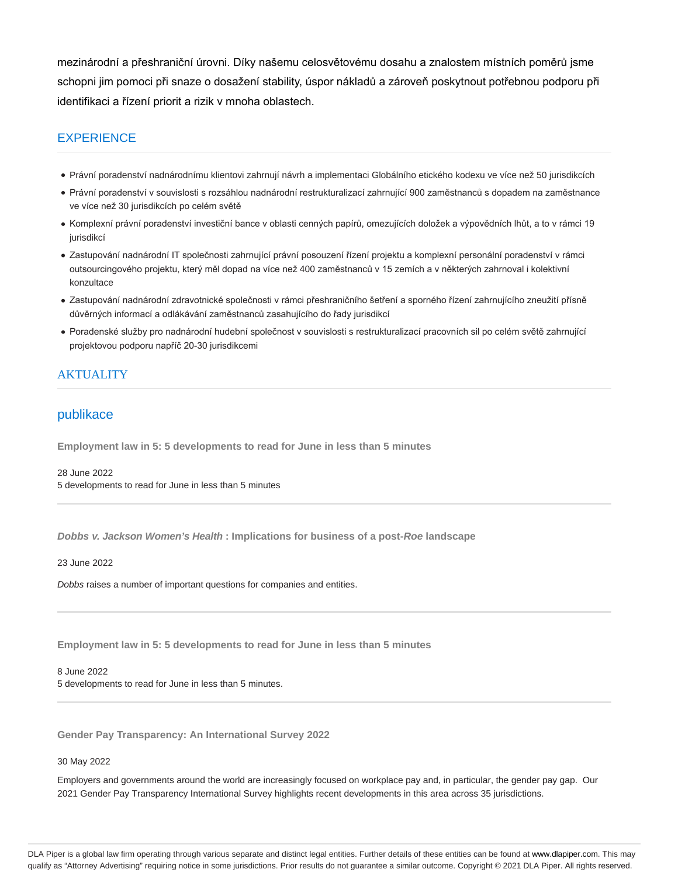mezinárodní a přeshraniční úrovni. Díky našemu celosvětovému dosahu a znalostem místních poměrů jsme schopni jim pomoci při snaze o dosažení stability, úspor nákladů a zároveň poskytnout potřebnou podporu při identifikaci a řízení priorit a rizik v mnoha oblastech.

# **EXPERIENCE**

- Právní poradenství nadnárodnímu klientovi zahrnují návrh a implementaci Globálního etického kodexu ve více než 50 jurisdikcích
- Právní poradenství v souvislosti s rozsáhlou nadnárodní restrukturalizací zahrnující 900 zaměstnanců s dopadem na zaměstnance ve více než 30 jurisdikcích po celém světě
- Komplexní právní poradenství investiční bance v oblasti cenných papírů, omezujících doložek a výpovědních lhůt, a to v rámci 19 jurisdikcí
- Zastupování nadnárodní IT společnosti zahrnující právní posouzení řízení projektu a komplexní personální poradenství v rámci outsourcingového projektu, který měl dopad na více než 400 zaměstnanců v 15 zemích a v některých zahrnoval i kolektivní konzultace
- Zastupování nadnárodní zdravotnické společnosti v rámci přeshraničního šetření a sporného řízení zahrnujícího zneužití přísně důvěrných informací a odlákávání zaměstnanců zasahujícího do řady jurisdikcí
- Poradenské služby pro nadnárodní hudební společnost v souvislosti s restrukturalizací pracovních sil po celém světě zahrnující projektovou podporu napříč 20-30 jurisdikcemi

# **AKTUALITY**

# publikace

**Employment law in 5: 5 developments to read for June in less than 5 minutes**

28 June 2022 5 developments to read for June in less than 5 minutes

**Dobbs v. Jackson Women's Health : Implications for business of a post-Roe landscape**

23 June 2022

Dobbs raises a number of important questions for companies and entities.

**Employment law in 5: 5 developments to read for June in less than 5 minutes**

8 June 2022 5 developments to read for June in less than 5 minutes.

**Gender Pay Transparency: An International Survey 2022**

30 May 2022

Employers and governments around the world are increasingly focused on workplace pay and, in particular, the gender pay gap. Our 2021 Gender Pay Transparency International Survey highlights recent developments in this area across 35 jurisdictions.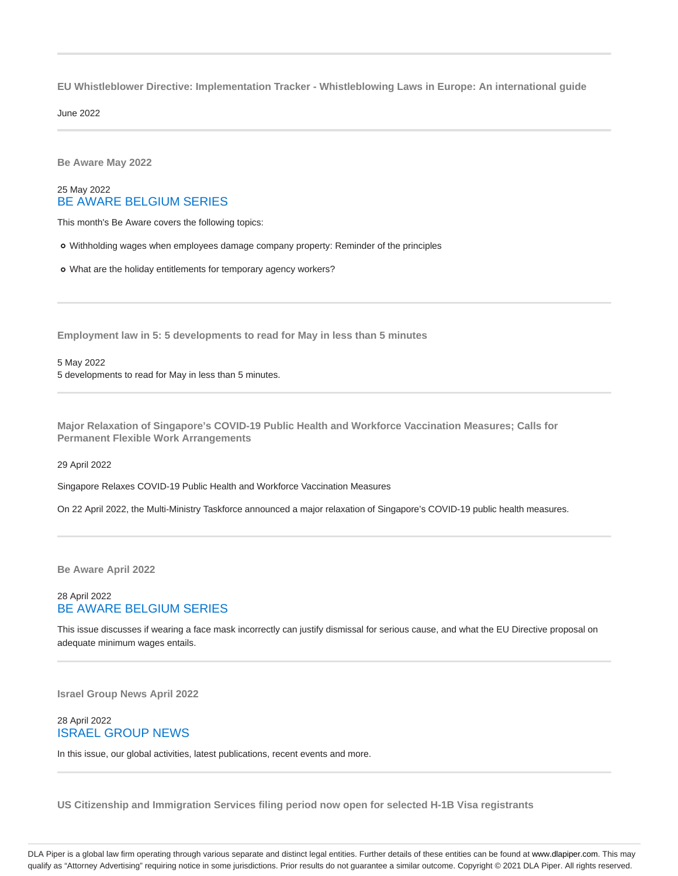**EU Whistleblower Directive: Implementation Tracker - Whistleblowing Laws in Europe: An international guide**

June 2022

**Be Aware May 2022**

# 25 May 2022 BE AWARE BELGIUM SERIES

This month's Be Aware covers the following topics:

Withholding wages when employees damage company property: Reminder of the principles

What are the holiday entitlements for temporary agency workers?

**Employment law in 5: 5 developments to read for May in less than 5 minutes**

5 May 2022 5 developments to read for May in less than 5 minutes.

**Major Relaxation of Singapore's COVID-19 Public Health and Workforce Vaccination Measures; Calls for Permanent Flexible Work Arrangements**

29 April 2022

Singapore Relaxes COVID-19 Public Health and Workforce Vaccination Measures

On 22 April 2022, the Multi-Ministry Taskforce announced a major relaxation of Singapore's COVID-19 public health measures.

**Be Aware April 2022**

# 28 April 2022 BE AWARE BELGIUM SERIES

This issue discusses if wearing a face mask incorrectly can justify dismissal for serious cause, and what the EU Directive proposal on adequate minimum wages entails.

**Israel Group News April 2022**

# 28 April 2022 ISRAEL GROUP NEWS

In this issue, our global activities, latest publications, recent events and more.

**US Citizenship and Immigration Services filing period now open for selected H-1B Visa registrants**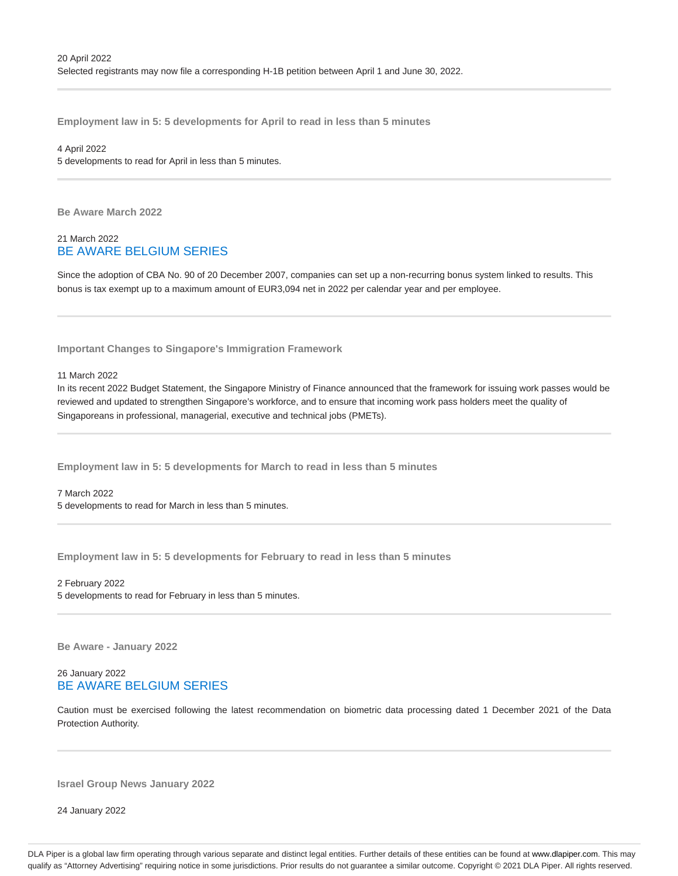**Employment law in 5: 5 developments for April to read in less than 5 minutes**

#### 4 April 2022

5 developments to read for April in less than 5 minutes.

**Be Aware March 2022**

# 21 March 2022 BE AWARE BELGIUM SERIES

Since the adoption of CBA No. 90 of 20 December 2007, companies can set up a non-recurring bonus system linked to results. This bonus is tax exempt up to a maximum amount of EUR3,094 net in 2022 per calendar year and per employee.

**Important Changes to Singapore's Immigration Framework**

11 March 2022

In its recent 2022 Budget Statement, the Singapore Ministry of Finance announced that the framework for issuing work passes would be reviewed and updated to strengthen Singapore's workforce, and to ensure that incoming work pass holders meet the quality of Singaporeans in professional, managerial, executive and technical jobs (PMETs).

**Employment law in 5: 5 developments for March to read in less than 5 minutes**

7 March 2022

5 developments to read for March in less than 5 minutes.

**Employment law in 5: 5 developments for February to read in less than 5 minutes**

2 February 2022

5 developments to read for February in less than 5 minutes.

**Be Aware - January 2022**

# 26 January 2022 BE AWARE BELGIUM SERIES

Caution must be exercised following the latest recommendation on biometric data processing dated 1 December 2021 of the Data Protection Authority.

**Israel Group News January 2022**

24 January 2022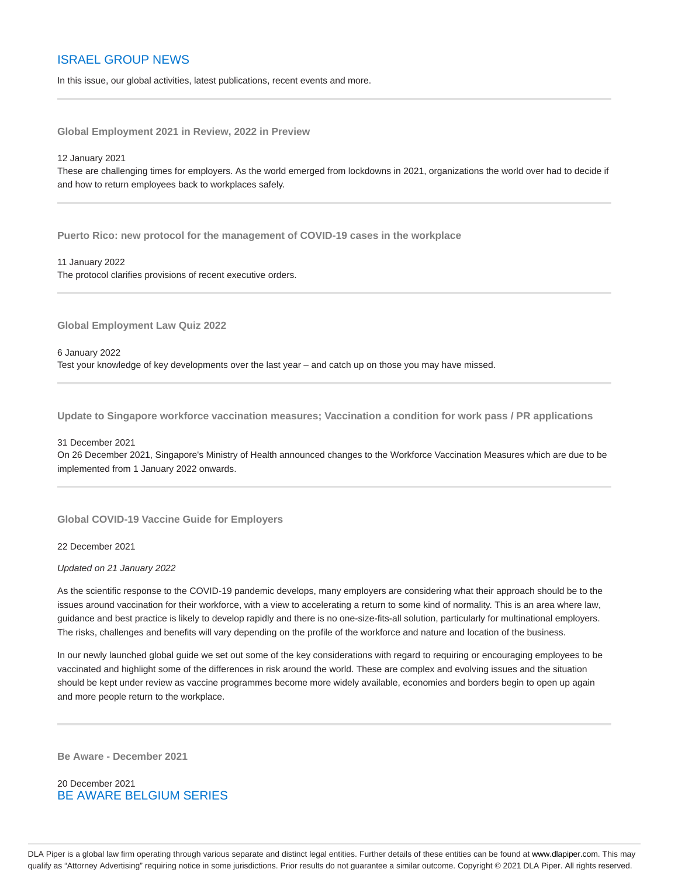# ISRAEL GROUP NEWS

In this issue, our global activities, latest publications, recent events and more.

**Global Employment 2021 in Review, 2022 in Preview**

#### 12 January 2021

These are challenging times for employers. As the world emerged from lockdowns in 2021, organizations the world over had to decide if and how to return employees back to workplaces safely.

**Puerto Rico: new protocol for the management of COVID-19 cases in the workplace**

#### 11 January 2022

The protocol clarifies provisions of recent executive orders.

**Global Employment Law Quiz 2022**

#### 6 January 2022

Test your knowledge of key developments over the last year – and catch up on those you may have missed.

**Update to Singapore workforce vaccination measures; Vaccination a condition for work pass / PR applications**

#### 31 December 2021

On 26 December 2021, Singapore's Ministry of Health announced changes to the Workforce Vaccination Measures which are due to be implemented from 1 January 2022 onwards.

**Global COVID-19 Vaccine Guide for Employers**

## 22 December 2021

#### Updated on 21 January 2022

As the scientific response to the COVID-19 pandemic develops, many employers are considering what their approach should be to the issues around vaccination for their workforce, with a view to accelerating a return to some kind of normality. This is an area where law, guidance and best practice is likely to develop rapidly and there is no one-size-fits-all solution, particularly for multinational employers. The risks, challenges and benefits will vary depending on the profile of the workforce and nature and location of the business.

In our newly launched global guide we set out some of the key considerations with regard to requiring or encouraging employees to be vaccinated and highlight some of the differences in risk around the world. These are complex and evolving issues and the situation should be kept under review as vaccine programmes become more widely available, economies and borders begin to open up again and more people return to the workplace.

**Be Aware - December 2021**

20 December 2021 BE AWARE BELGIUM SERIES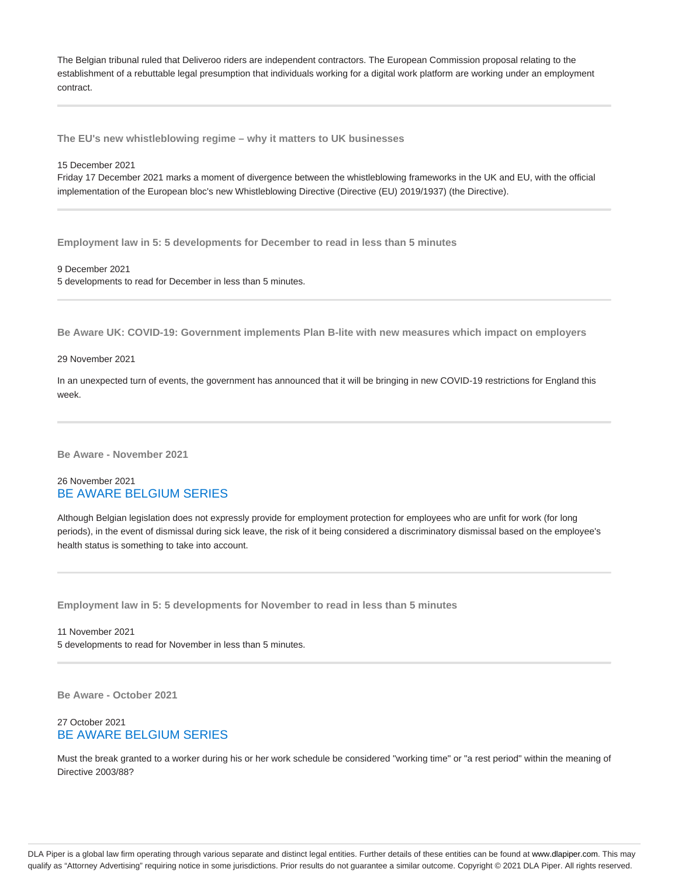The Belgian tribunal ruled that Deliveroo riders are independent contractors. The European Commission proposal relating to the establishment of a rebuttable legal presumption that individuals working for a digital work platform are working under an employment contract.

**The EU's new whistleblowing regime – why it matters to UK businesses**

#### 15 December 2021

Friday 17 December 2021 marks a moment of divergence between the whistleblowing frameworks in the UK and EU, with the official implementation of the European bloc's new Whistleblowing Directive (Directive (EU) 2019/1937) (the Directive).

**Employment law in 5: 5 developments for December to read in less than 5 minutes**

9 December 2021

5 developments to read for December in less than 5 minutes.

**Be Aware UK: COVID-19: Government implements Plan B-lite with new measures which impact on employers**

#### 29 November 2021

In an unexpected turn of events, the government has announced that it will be bringing in new COVID-19 restrictions for England this week.

**Be Aware - November 2021**

## 26 November 2021 BE AWARE BELGIUM SERIES

Although Belgian legislation does not expressly provide for employment protection for employees who are unfit for work (for long periods), in the event of dismissal during sick leave, the risk of it being considered a discriminatory dismissal based on the employee's health status is something to take into account.

**Employment law in 5: 5 developments for November to read in less than 5 minutes**

11 November 2021 5 developments to read for November in less than 5 minutes.

**Be Aware - October 2021**

# 27 October 2021 BE AWARE BELGIUM SERIES

Must the break granted to a worker during his or her work schedule be considered "working time" or "a rest period" within the meaning of Directive 2003/88?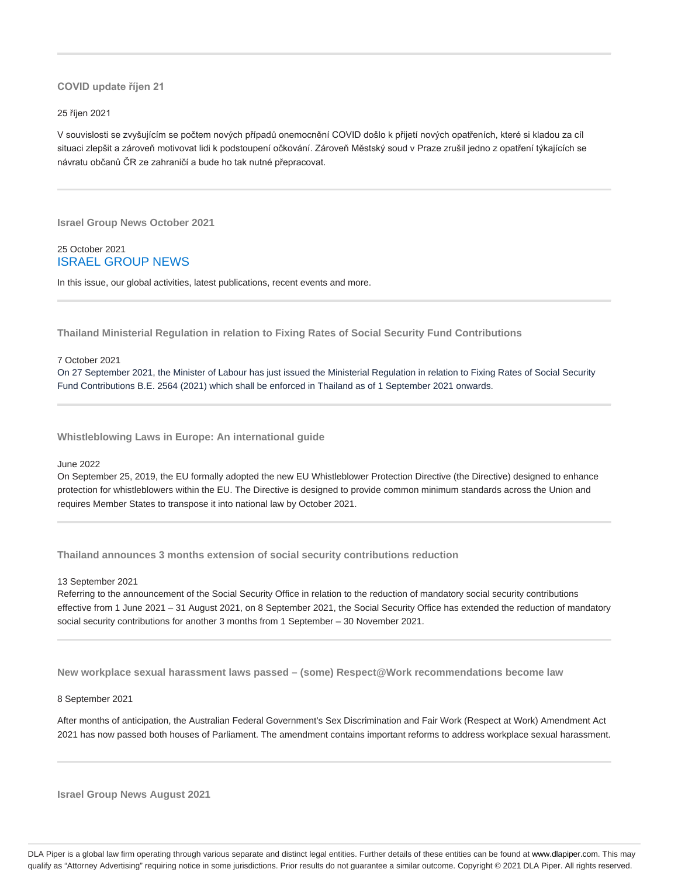## **COVID update říjen 21**

#### 25 říjen 2021

V souvislosti se zvyšujícím se počtem nových případů onemocnění COVID došlo k přijetí nových opatřeních, které si kladou za cíl situaci zlepšit a zároveň motivovat lidi k podstoupení očkování. Zároveň Městský soud v Praze zrušil jedno z opatření týkajících se návratu občanů ČR ze zahraničí a bude ho tak nutné přepracovat.

**Israel Group News October 2021**

25 October 2021 ISRAEL GROUP NEWS

In this issue, our global activities, latest publications, recent events and more.

**Thailand Ministerial Regulation in relation to Fixing Rates of Social Security Fund Contributions**

#### 7 October 2021

On 27 September 2021, the Minister of Labour has just issued the Ministerial Regulation in relation to Fixing Rates of Social Security Fund Contributions B.E. 2564 (2021) which shall be enforced in Thailand as of 1 September 2021 onwards.

**Whistleblowing Laws in Europe: An international guide**

#### June 2022

On September 25, 2019, the EU formally adopted the new EU Whistleblower Protection Directive (the Directive) designed to enhance protection for whistleblowers within the EU. The Directive is designed to provide common minimum standards across the Union and requires Member States to transpose it into national law by October 2021.

**Thailand announces 3 months extension of social security contributions reduction**

13 September 2021

Referring to the announcement of the Social Security Office in relation to the reduction of mandatory social security contributions effective from 1 June 2021 – 31 August 2021, on 8 September 2021, the Social Security Office has extended the reduction of mandatory social security contributions for another 3 months from 1 September – 30 November 2021.

**New workplace sexual harassment laws passed – (some) Respect@Work recommendations become law**

#### 8 September 2021

After months of anticipation, the Australian Federal Government's Sex Discrimination and Fair Work (Respect at Work) Amendment Act 2021 has now passed both houses of Parliament. The amendment contains important reforms to address workplace sexual harassment.

**Israel Group News August 2021**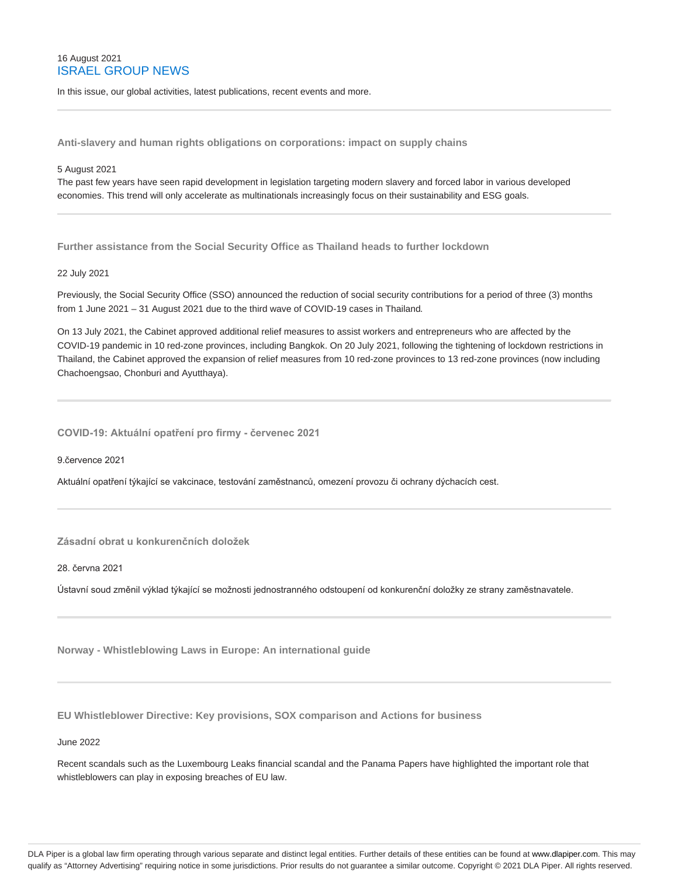# 16 August 2021 ISRAEL GROUP NEWS

In this issue, our global activities, latest publications, recent events and more.

**Anti-slavery and human rights obligations on corporations: impact on supply chains**

#### 5 August 2021

The past few years have seen rapid development in legislation targeting modern slavery and forced labor in various developed economies. This trend will only accelerate as multinationals increasingly focus on their sustainability and ESG goals.

**Further assistance from the Social Security Office as Thailand heads to further lockdown**

#### 22 July 2021

Previously, the Social Security Office (SSO) announced the reduction of social security contributions for a period of three (3) months from 1 June 2021 – 31 August 2021 due to the third wave of COVID-19 cases in Thailand.

On 13 July 2021, the Cabinet approved additional relief measures to assist workers and entrepreneurs who are affected by the COVID-19 pandemic in 10 red-zone provinces, including Bangkok. On 20 July 2021, following the tightening of lockdown restrictions in Thailand, the Cabinet approved the expansion of relief measures from 10 red-zone provinces to 13 red-zone provinces (now including Chachoengsao, Chonburi and Ayutthaya).

**COVID-19: Aktuální opatření pro firmy - červenec 2021**

9.července 2021

Aktuální opatření týkající se vakcinace, testování zaměstnanců, omezení provozu či ochrany dýchacích cest.

# **Zásadní obrat u konkurenčních doložek**

28. června 2021

Ústavní soud změnil výklad týkající se možnosti jednostranného odstoupení od konkurenční doložky ze strany zaměstnavatele.

**Norway - Whistleblowing Laws in Europe: An international guide**

**EU Whistleblower Directive: Key provisions, SOX comparison and Actions for business**

June 2022

Recent scandals such as the Luxembourg Leaks financial scandal and the Panama Papers have highlighted the important role that whistleblowers can play in exposing breaches of EU law.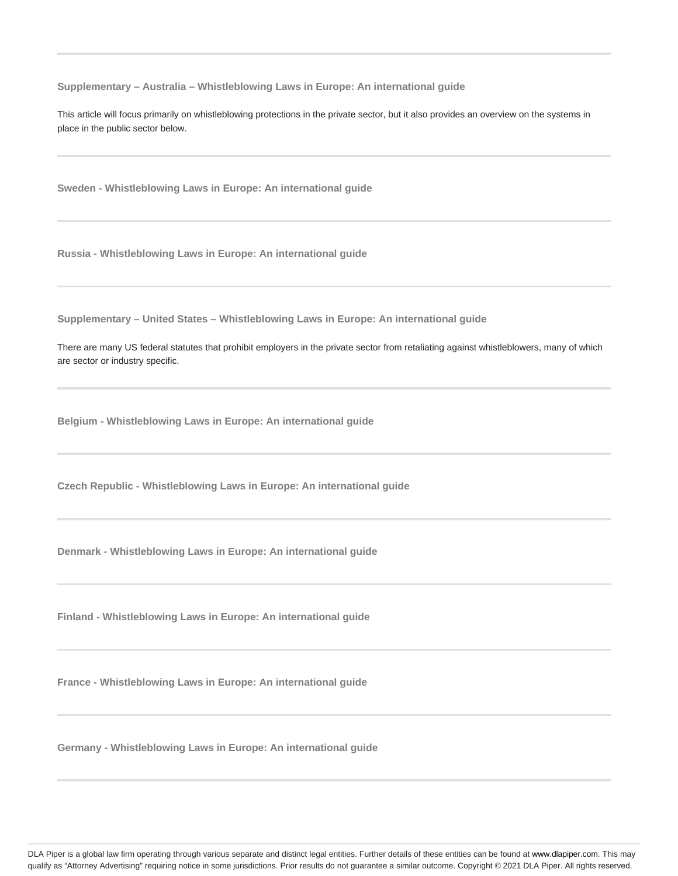**Supplementary – Australia – Whistleblowing Laws in Europe: An international guide**

This article will focus primarily on whistleblowing protections in the private sector, but it also provides an overview on the systems in place in the public sector below.

**Sweden - Whistleblowing Laws in Europe: An international guide**

**Russia - Whistleblowing Laws in Europe: An international guide**

**Supplementary – United States – Whistleblowing Laws in Europe: An international guide**

There are many US federal statutes that prohibit employers in the private sector from retaliating against whistleblowers, many of which are sector or industry specific.

**Belgium - Whistleblowing Laws in Europe: An international guide**

**Czech Republic - Whistleblowing Laws in Europe: An international guide**

**Denmark - Whistleblowing Laws in Europe: An international guide**

**Finland - Whistleblowing Laws in Europe: An international guide**

**France - Whistleblowing Laws in Europe: An international guide**

**Germany - Whistleblowing Laws in Europe: An international guide**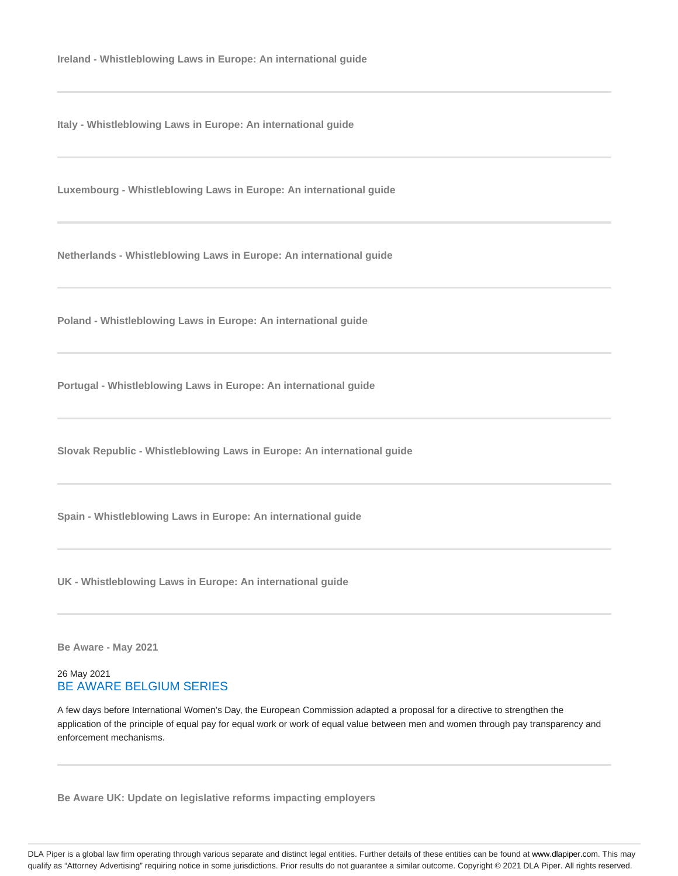**Ireland - Whistleblowing Laws in Europe: An international guide**

**Italy - Whistleblowing Laws in Europe: An international guide**

**Luxembourg - Whistleblowing Laws in Europe: An international guide**

**Netherlands - Whistleblowing Laws in Europe: An international guide**

**Poland - Whistleblowing Laws in Europe: An international guide**

**Portugal - Whistleblowing Laws in Europe: An international guide**

**Slovak Republic - Whistleblowing Laws in Europe: An international guide**

**Spain - Whistleblowing Laws in Europe: An international guide**

**UK - Whistleblowing Laws in Europe: An international guide**

**Be Aware - May 2021**

## 26 May 2021 BE AWARE BELGIUM SERIES

A few days before International Women's Day, the European Commission adapted a proposal for a directive to strengthen the application of the principle of equal pay for equal work or work of equal value between men and women through pay transparency and enforcement mechanisms.

**Be Aware UK: Update on legislative reforms impacting employers**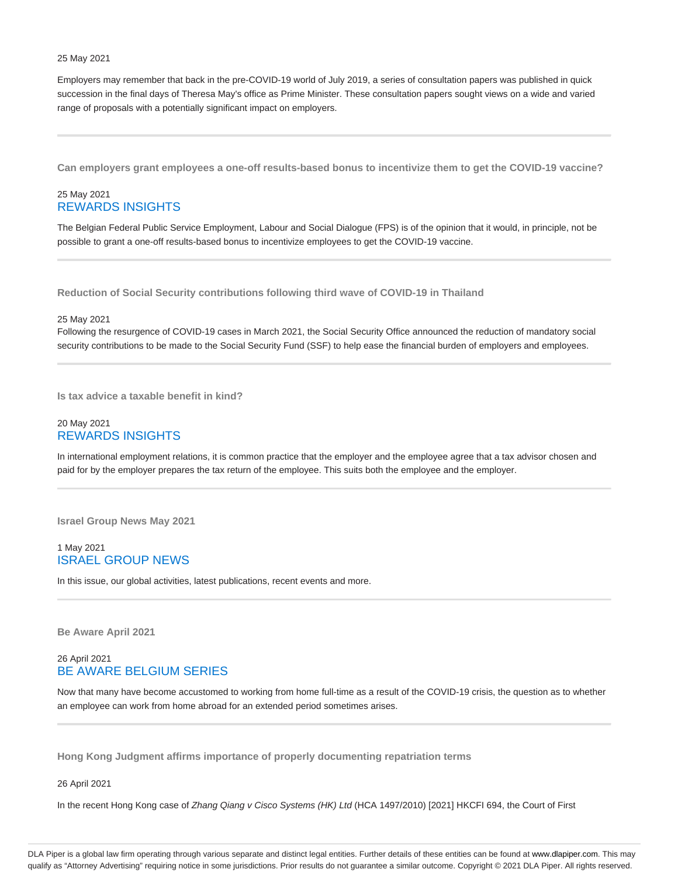#### 25 May 2021

Employers may remember that back in the pre-COVID-19 world of July 2019, a series of consultation papers was published in quick succession in the final days of Theresa May's office as Prime Minister. These consultation papers sought views on a wide and varied range of proposals with a potentially significant impact on employers.

**Can employers grant employees a one-off results-based bonus to incentivize them to get the COVID-19 vaccine?**

# 25 May 2021 REWARDS INSIGHTS

The Belgian Federal Public Service Employment, Labour and Social Dialogue (FPS) is of the opinion that it would, in principle, not be possible to grant a one-off results-based bonus to incentivize employees to get the COVID-19 vaccine.

**Reduction of Social Security contributions following third wave of COVID-19 in Thailand**

#### 25 May 2021

Following the resurgence of COVID-19 cases in March 2021, the Social Security Office announced the reduction of mandatory social security contributions to be made to the Social Security Fund (SSF) to help ease the financial burden of employers and employees.

**Is tax advice a taxable benefit in kind?**

## 20 May 2021 REWARDS INSIGHTS

In international employment relations, it is common practice that the employer and the employee agree that a tax advisor chosen and paid for by the employer prepares the tax return of the employee. This suits both the employee and the employer.

**Israel Group News May 2021**

## 1 May 2021 ISRAEL GROUP NEWS

In this issue, our global activities, latest publications, recent events and more.

**Be Aware April 2021**

# 26 April 2021 BE AWARE BELGIUM SERIES

Now that many have become accustomed to working from home full-time as a result of the COVID-19 crisis, the question as to whether an employee can work from home abroad for an extended period sometimes arises.

**Hong Kong Judgment affirms importance of properly documenting repatriation terms**

26 April 2021

In the recent Hong Kong case of Zhang Qiang v Cisco Systems (HK) Ltd (HCA 1497/2010) [2021] HKCFI 694, the Court of First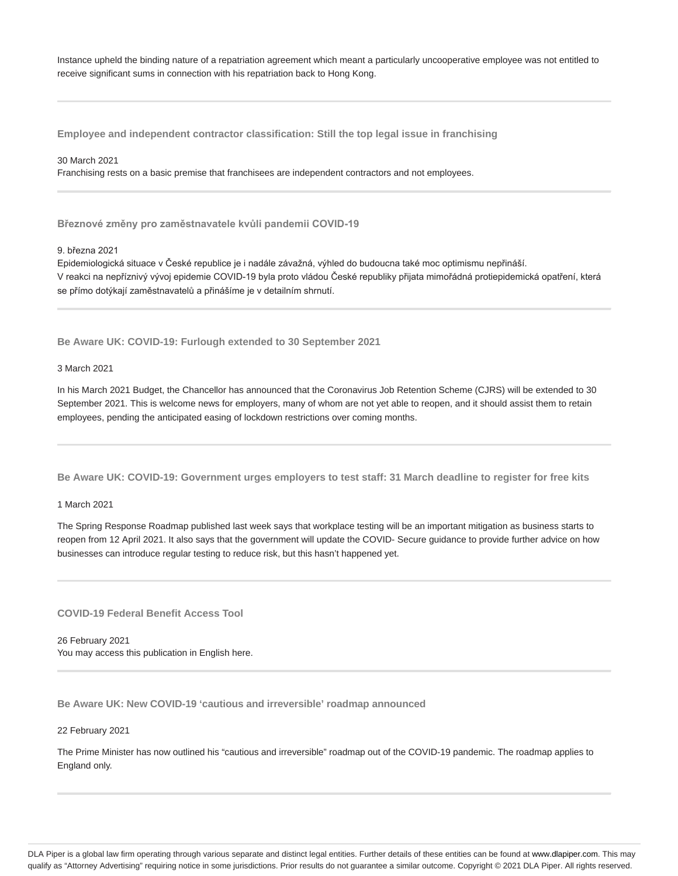Instance upheld the binding nature of a repatriation agreement which meant a particularly uncooperative employee was not entitled to receive significant sums in connection with his repatriation back to Hong Kong.

**Employee and independent contractor classification: Still the top legal issue in franchising**

30 March 2021

Franchising rests on a basic premise that franchisees are independent contractors and not employees.

**Březnové změny pro zaměstnavatele kvůli pandemii COVID-19**

9. března 2021

Epidemiologická situace v České republice je i nadále závažná, výhled do budoucna také moc optimismu nepřináší. V reakci na nepříznivý vývoj epidemie COVID-19 byla proto vládou České republiky přijata mimořádná protiepidemická opatření, která se přímo dotýkají zaměstnavatelů a přinášíme je v detailním shrnutí.

**Be Aware UK: COVID-19: Furlough extended to 30 September 2021**

3 March 2021

In his March 2021 Budget, the Chancellor has announced that the Coronavirus Job Retention Scheme (CJRS) will be extended to 30 September 2021. This is welcome news for employers, many of whom are not yet able to reopen, and it should assist them to retain employees, pending the anticipated easing of lockdown restrictions over coming months.

**Be Aware UK: COVID-19: Government urges employers to test staff: 31 March deadline to register for free kits**

1 March 2021

The Spring Response Roadmap published last week says that workplace testing will be an important mitigation as business starts to reopen from 12 April 2021. It also says that the government will update the COVID- Secure guidance to provide further advice on how businesses can introduce regular testing to reduce risk, but this hasn't happened yet.

**COVID-19 Federal Benefit Access Tool**

26 February 2021 You may access this publication in English here.

**Be Aware UK: New COVID-19 'cautious and irreversible' roadmap announced**

22 February 2021

The Prime Minister has now outlined his "cautious and irreversible" roadmap out of the COVID-19 pandemic. The roadmap applies to England only.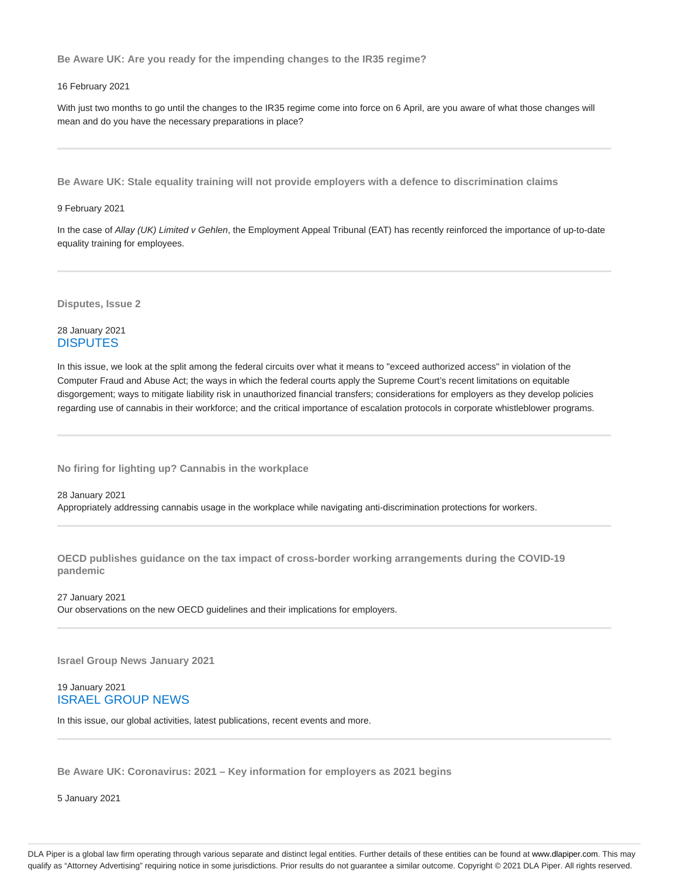**Be Aware UK: Are you ready for the impending changes to the IR35 regime?**

#### 16 February 2021

With just two months to go until the changes to the IR35 regime come into force on 6 April, are you aware of what those changes will mean and do you have the necessary preparations in place?

**Be Aware UK: Stale equality training will not provide employers with a defence to discrimination claims**

#### 9 February 2021

In the case of Allay (UK) Limited v Gehlen, the Employment Appeal Tribunal (EAT) has recently reinforced the importance of up-to-date equality training for employees.

**Disputes, Issue 2**

# 28 January 2021 **DISPUTES**

In this issue, we look at the split among the federal circuits over what it means to "exceed authorized access" in violation of the Computer Fraud and Abuse Act; the ways in which the federal courts apply the Supreme Court's recent limitations on equitable disgorgement; ways to mitigate liability risk in unauthorized financial transfers; considerations for employers as they develop policies regarding use of cannabis in their workforce; and the critical importance of escalation protocols in corporate whistleblower programs.

**No firing for lighting up? Cannabis in the workplace**

28 January 2021 Appropriately addressing cannabis usage in the workplace while navigating anti-discrimination protections for workers.

**OECD publishes guidance on the tax impact of cross-border working arrangements during the COVID-19 pandemic**

27 January 2021 Our observations on the new OECD guidelines and their implications for employers.

**Israel Group News January 2021**

19 January 2021 ISRAEL GROUP NEWS

In this issue, our global activities, latest publications, recent events and more.

**Be Aware UK: Coronavirus: 2021 – Key information for employers as 2021 begins**

5 January 2021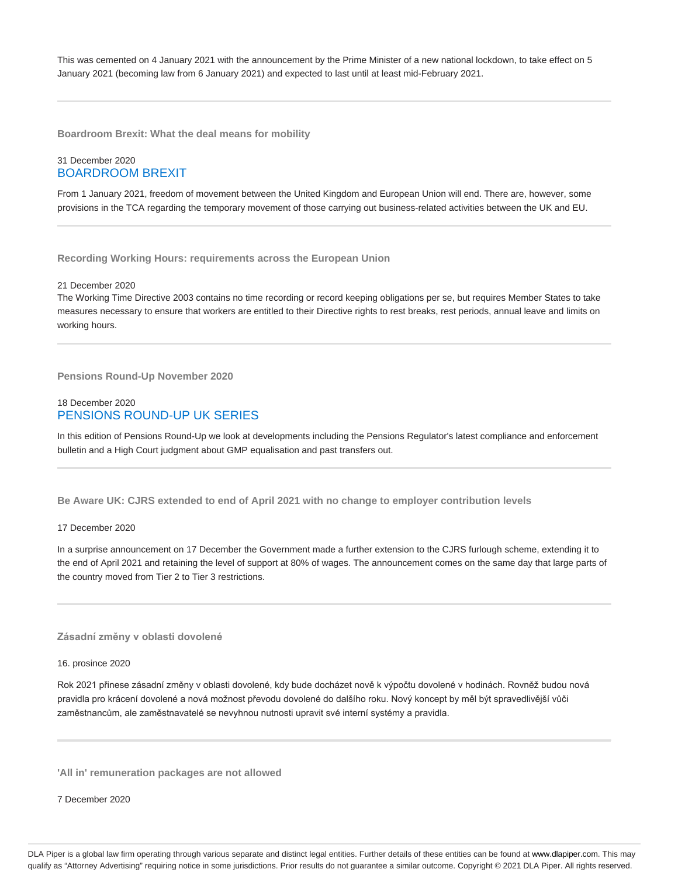This was cemented on 4 January 2021 with the announcement by the Prime Minister of a new national lockdown, to take effect on 5 January 2021 (becoming law from 6 January 2021) and expected to last until at least mid-February 2021.

**Boardroom Brexit: What the deal means for mobility**

## 31 December 2020 BOARDROOM BREXIT

From 1 January 2021, freedom of movement between the United Kingdom and European Union will end. There are, however, some provisions in the TCA regarding the temporary movement of those carrying out business-related activities between the UK and EU.

**Recording Working Hours: requirements across the European Union**

#### 21 December 2020

The Working Time Directive 2003 contains no time recording or record keeping obligations per se, but requires Member States to take measures necessary to ensure that workers are entitled to their Directive rights to rest breaks, rest periods, annual leave and limits on working hours.

**Pensions Round-Up November 2020**

# 18 December 2020 PENSIONS ROUND-UP UK SERIES

In this edition of Pensions Round-Up we look at developments including the Pensions Regulator's latest compliance and enforcement bulletin and a High Court judgment about GMP equalisation and past transfers out.

**Be Aware UK: CJRS extended to end of April 2021 with no change to employer contribution levels**

## 17 December 2020

In a surprise announcement on 17 December the Government made a further extension to the CJRS furlough scheme, extending it to the end of April 2021 and retaining the level of support at 80% of wages. The announcement comes on the same day that large parts of the country moved from Tier 2 to Tier 3 restrictions.

**Zásadní změny v oblasti dovolené**

#### 16. prosince 2020

Rok 2021 přinese zásadní změny v oblasti dovolené, kdy bude docházet nově k výpočtu dovolené v hodinách. Rovněž budou nová pravidla pro krácení dovolené a nová možnost převodu dovolené do dalšího roku. Nový koncept by měl být spravedlivější vůči zaměstnancům, ale zaměstnavatelé se nevyhnou nutnosti upravit své interní systémy a pravidla.

**'All in' remuneration packages are not allowed**

7 December 2020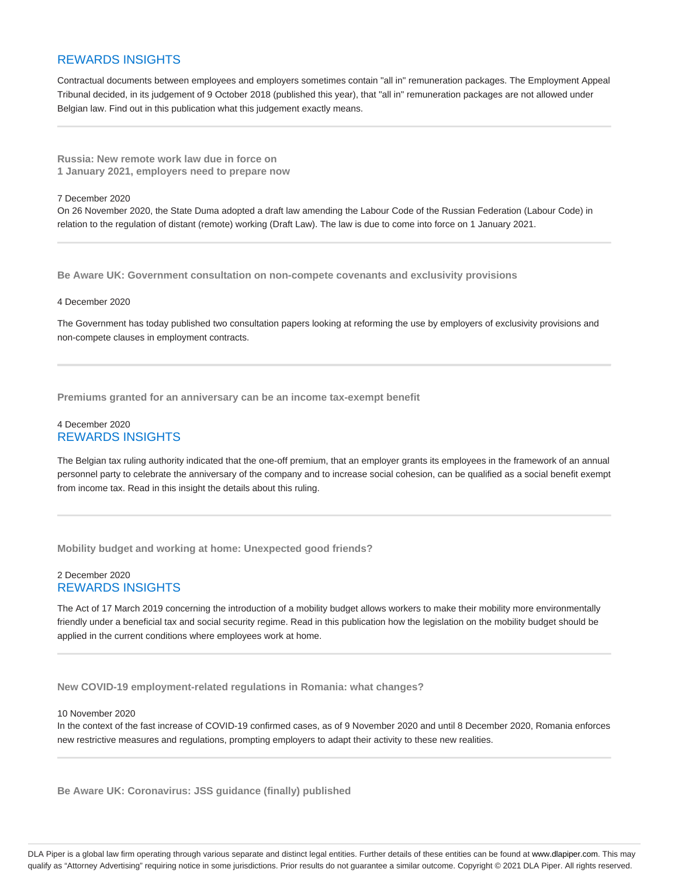# REWARDS INSIGHTS

Contractual documents between employees and employers sometimes contain "all in" remuneration packages. The Employment Appeal Tribunal decided, in its judgement of 9 October 2018 (published this year), that "all in" remuneration packages are not allowed under Belgian law. Find out in this publication what this judgement exactly means.

**Russia: New remote work law due in force on 1 January 2021, employers need to prepare now**

#### 7 December 2020

On 26 November 2020, the State Duma adopted a draft law amending the Labour Code of the Russian Federation (Labour Code) in relation to the regulation of distant (remote) working (Draft Law). The law is due to come into force on 1 January 2021.

**Be Aware UK: Government consultation on non-compete covenants and exclusivity provisions**

#### 4 December 2020

The Government has today published two consultation papers looking at reforming the use by employers of exclusivity provisions and non-compete clauses in employment contracts.

**Premiums granted for an anniversary can be an income tax-exempt benefit**

## 4 December 2020 REWARDS INSIGHTS

The Belgian tax ruling authority indicated that the one-off premium, that an employer grants its employees in the framework of an annual personnel party to celebrate the anniversary of the company and to increase social cohesion, can be qualified as a social benefit exempt from income tax. Read in this insight the details about this ruling.

**Mobility budget and working at home: Unexpected good friends?**

## 2 December 2020 REWARDS INSIGHTS

The Act of 17 March 2019 concerning the introduction of a mobility budget allows workers to make their mobility more environmentally friendly under a beneficial tax and social security regime. Read in this publication how the legislation on the mobility budget should be applied in the current conditions where employees work at home.

**New COVID-19 employment-related regulations in Romania: what changes?**

#### 10 November 2020

In the context of the fast increase of COVID-19 confirmed cases, as of 9 November 2020 and until 8 December 2020, Romania enforces new restrictive measures and regulations, prompting employers to adapt their activity to these new realities.

**Be Aware UK: Coronavirus: JSS guidance (finally) published**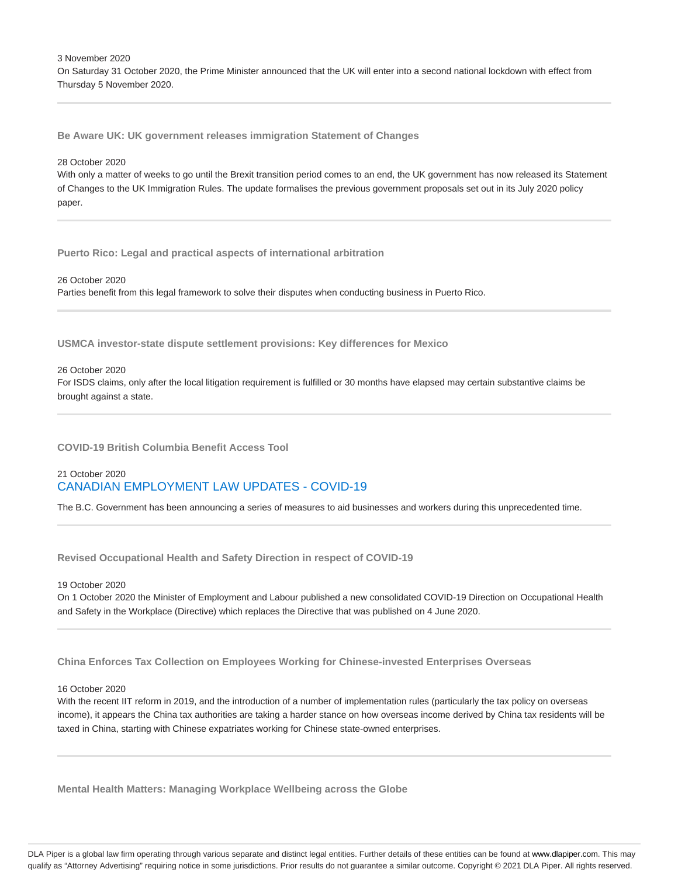3 November 2020 On Saturday 31 October 2020, the Prime Minister announced that the UK will enter into a second national lockdown with effect from Thursday 5 November 2020.

**Be Aware UK: UK government releases immigration Statement of Changes**

#### 28 October 2020

With only a matter of weeks to go until the Brexit transition period comes to an end, the UK government has now released its Statement of Changes to the UK Immigration Rules. The update formalises the previous government proposals set out in its July 2020 policy paper.

**Puerto Rico: Legal and practical aspects of international arbitration**

26 October 2020 Parties benefit from this legal framework to solve their disputes when conducting business in Puerto Rico.

**USMCA investor-state dispute settlement provisions: Key differences for Mexico**

#### 26 October 2020

For ISDS claims, only after the local litigation requirement is fulfilled or 30 months have elapsed may certain substantive claims be brought against a state.

**COVID-19 British Columbia Benefit Access Tool**

# 21 October 2020 CANADIAN EMPLOYMENT LAW UPDATES - COVID-19

The B.C. Government has been announcing a series of measures to aid businesses and workers during this unprecedented time.

**Revised Occupational Health and Safety Direction in respect of COVID-19**

19 October 2020

On 1 October 2020 the Minister of Employment and Labour published a new consolidated COVID-19 Direction on Occupational Health and Safety in the Workplace (Directive) which replaces the Directive that was published on 4 June 2020.

**China Enforces Tax Collection on Employees Working for Chinese-invested Enterprises Overseas**

#### 16 October 2020

With the recent IIT reform in 2019, and the introduction of a number of implementation rules (particularly the tax policy on overseas income), it appears the China tax authorities are taking a harder stance on how overseas income derived by China tax residents will be taxed in China, starting with Chinese expatriates working for Chinese state-owned enterprises.

**Mental Health Matters: Managing Workplace Wellbeing across the Globe**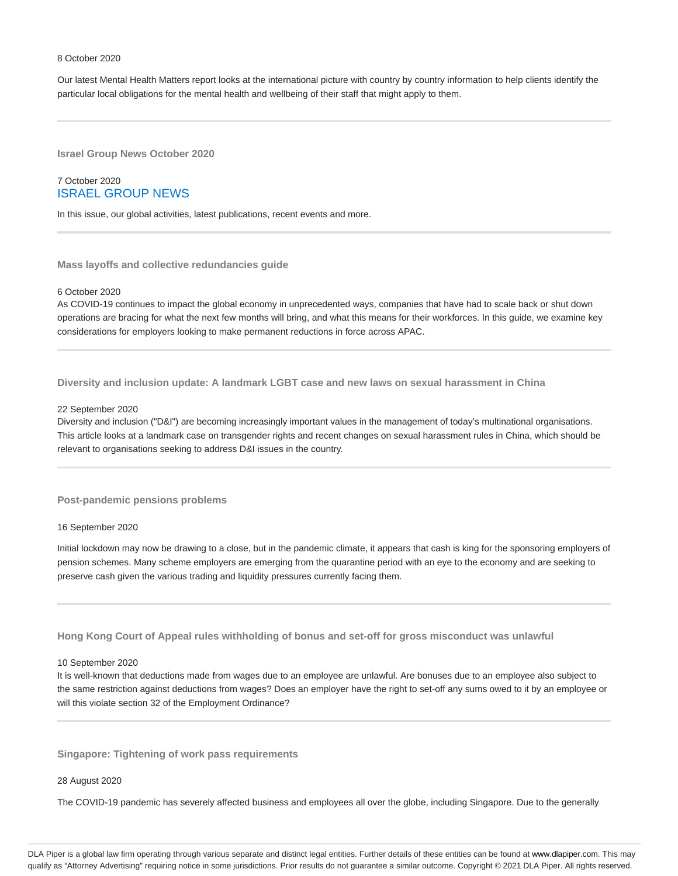#### 8 October 2020

Our latest Mental Health Matters report looks at the international picture with country by country information to help clients identify the particular local obligations for the mental health and wellbeing of their staff that might apply to them.

**Israel Group News October 2020**

## 7 October 2020 ISRAEL GROUP NEWS

In this issue, our global activities, latest publications, recent events and more.

**Mass layoffs and collective redundancies guide**

#### 6 October 2020

As COVID-19 continues to impact the global economy in unprecedented ways, companies that have had to scale back or shut down operations are bracing for what the next few months will bring, and what this means for their workforces. In this guide, we examine key considerations for employers looking to make permanent reductions in force across APAC.

**Diversity and inclusion update: A landmark LGBT case and new laws on sexual harassment in China**

#### 22 September 2020

Diversity and inclusion ("D&I") are becoming increasingly important values in the management of today's multinational organisations. This article looks at a landmark case on transgender rights and recent changes on sexual harassment rules in China, which should be relevant to organisations seeking to address D&I issues in the country.

**Post-pandemic pensions problems**

#### 16 September 2020

Initial lockdown may now be drawing to a close, but in the pandemic climate, it appears that cash is king for the sponsoring employers of pension schemes. Many scheme employers are emerging from the quarantine period with an eye to the economy and are seeking to preserve cash given the various trading and liquidity pressures currently facing them.

**Hong Kong Court of Appeal rules withholding of bonus and set-off for gross misconduct was unlawful**

#### 10 September 2020

It is well-known that deductions made from wages due to an employee are unlawful. Are bonuses due to an employee also subject to the same restriction against deductions from wages? Does an employer have the right to set-off any sums owed to it by an employee or will this violate section 32 of the Employment Ordinance?

**Singapore: Tightening of work pass requirements**

#### 28 August 2020

The COVID-19 pandemic has severely affected business and employees all over the globe, including Singapore. Due to the generally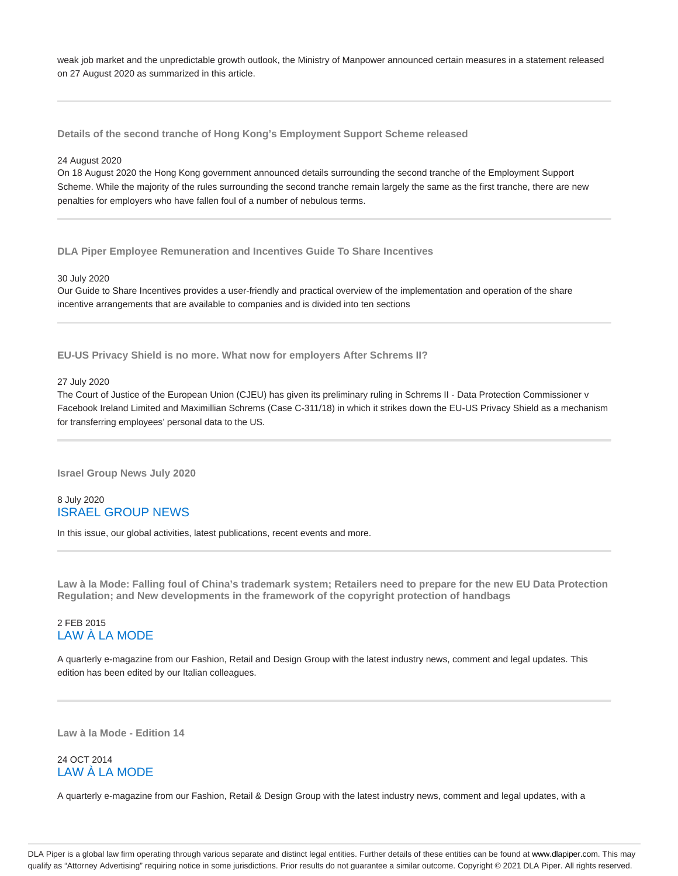weak job market and the unpredictable growth outlook, the Ministry of Manpower announced certain measures in a statement released on 27 August 2020 as summarized in this article.

**Details of the second tranche of Hong Kong's Employment Support Scheme released**

#### 24 August 2020

On 18 August 2020 the Hong Kong government announced details surrounding the second tranche of the Employment Support Scheme. While the majority of the rules surrounding the second tranche remain largely the same as the first tranche, there are new penalties for employers who have fallen foul of a number of nebulous terms.

**DLA Piper Employee Remuneration and Incentives Guide To Share Incentives**

#### 30 July 2020

Our Guide to Share Incentives provides a user-friendly and practical overview of the implementation and operation of the share incentive arrangements that are available to companies and is divided into ten sections

**EU-US Privacy Shield is no more. What now for employers After Schrems II?**

#### 27 July 2020

The Court of Justice of the European Union (CJEU) has given its preliminary ruling in Schrems II - Data Protection Commissioner v Facebook Ireland Limited and Maximillian Schrems (Case C-311/18) in which it strikes down the EU-US Privacy Shield as a mechanism for transferring employees' personal data to the US.

**Israel Group News July 2020**

# 8 July 2020 ISRAEL GROUP NEWS

In this issue, our global activities, latest publications, recent events and more.

**Law à la Mode: Falling foul of China's trademark system; Retailers need to prepare for the new EU Data Protection Regulation; and New developments in the framework of the copyright protection of handbags**

# 2 FEB 2015 LAW À LA MODE

A quarterly e-magazine from our Fashion, Retail and Design Group with the latest industry news, comment and legal updates. This edition has been edited by our Italian colleagues.

**Law à la Mode - Edition 14**

# 24 OCT 2014 LAW À LA MODE

A quarterly e-magazine from our Fashion, Retail & Design Group with the latest industry news, comment and legal updates, with a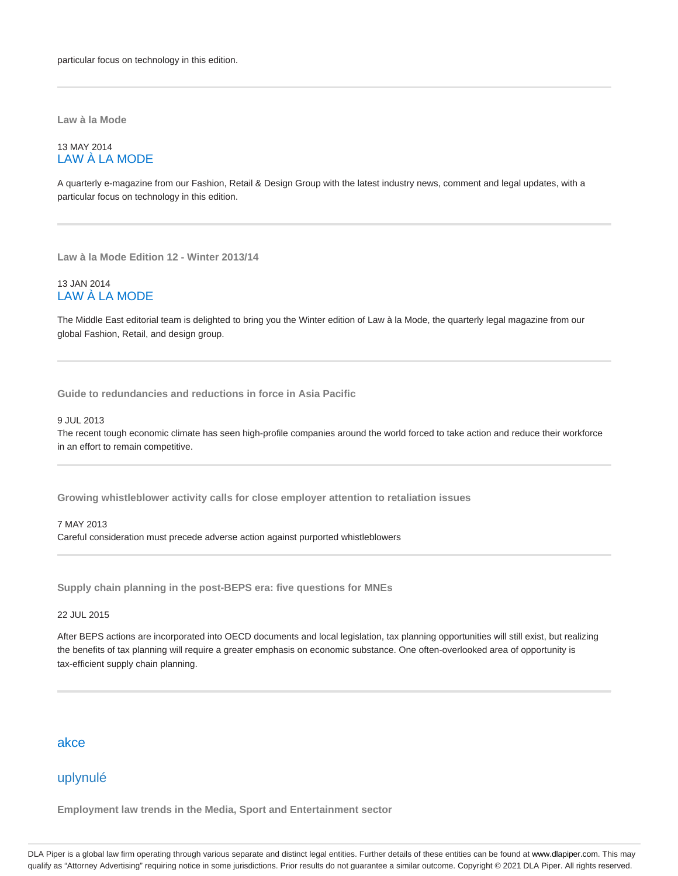**Law à la Mode**

## 13 MAY 2014 LAW À LA MODE

A quarterly e-magazine from our Fashion, Retail & Design Group with the latest industry news, comment and legal updates, with a particular focus on technology in this edition.

**Law à la Mode Edition 12 - Winter 2013/14**

## 13 JAN 2014 LAW À LA MODE

The Middle East editorial team is delighted to bring you the Winter edition of Law à la Mode, the quarterly legal magazine from our global Fashion, Retail, and design group.

**Guide to redundancies and reductions in force in Asia Pacific**

#### 9 JUL 2013

The recent tough economic climate has seen high-profile companies around the world forced to take action and reduce their workforce in an effort to remain competitive.

**Growing whistleblower activity calls for close employer attention to retaliation issues**

7 MAY 2013 Careful consideration must precede adverse action against purported whistleblowers

**Supply chain planning in the post-BEPS era: five questions for MNEs**

22 JUL 2015

After BEPS actions are incorporated into OECD documents and local legislation, tax planning opportunities will still exist, but realizing the benefits of tax planning will require a greater emphasis on economic substance. One often-overlooked area of opportunity is tax-efficient supply chain planning.

# akce

# uplynulé

**Employment law trends in the Media, Sport and Entertainment sector**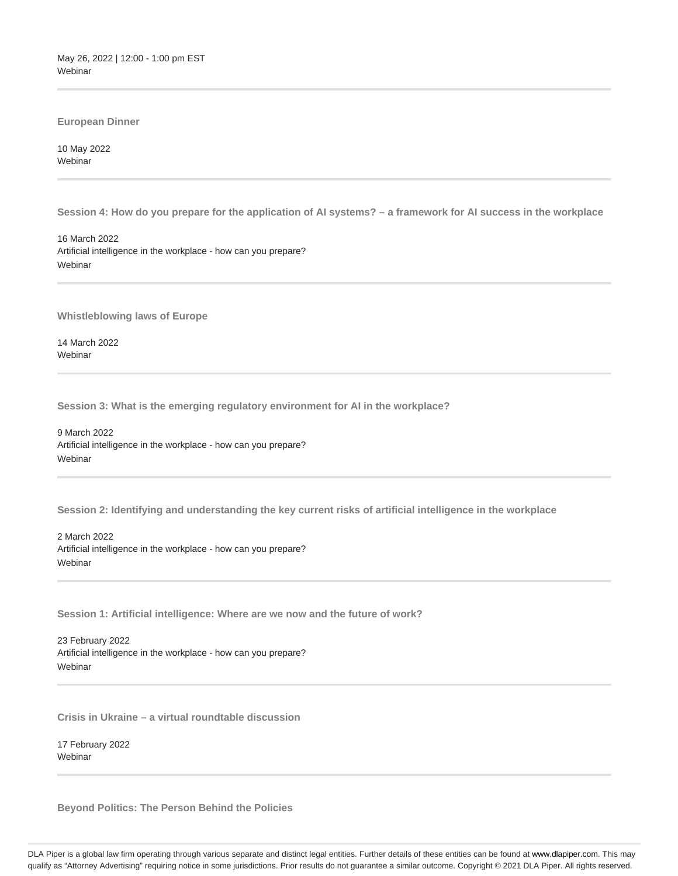May 26, 2022 | 12:00 - 1:00 pm EST Webinar

**European Dinner**

10 May 2022 **Webinar** 

**Session 4: How do you prepare for the application of AI systems? – a framework for AI success in the workplace**

16 March 2022 Artificial intelligence in the workplace - how can you prepare? Webinar

**Whistleblowing laws of Europe**

14 March 2022 Webinar

**Session 3: What is the emerging regulatory environment for AI in the workplace?**

9 March 2022 Artificial intelligence in the workplace - how can you prepare? **Webinar** 

**Session 2: Identifying and understanding the key current risks of artificial intelligence in the workplace**

2 March 2022 Artificial intelligence in the workplace - how can you prepare? Webinar

**Session 1: Artificial intelligence: Where are we now and the future of work?**

23 February 2022 Artificial intelligence in the workplace - how can you prepare? Webinar

**Crisis in Ukraine – a virtual roundtable discussion**

17 February 2022 **Webinar** 

**Beyond Politics: The Person Behind the Policies**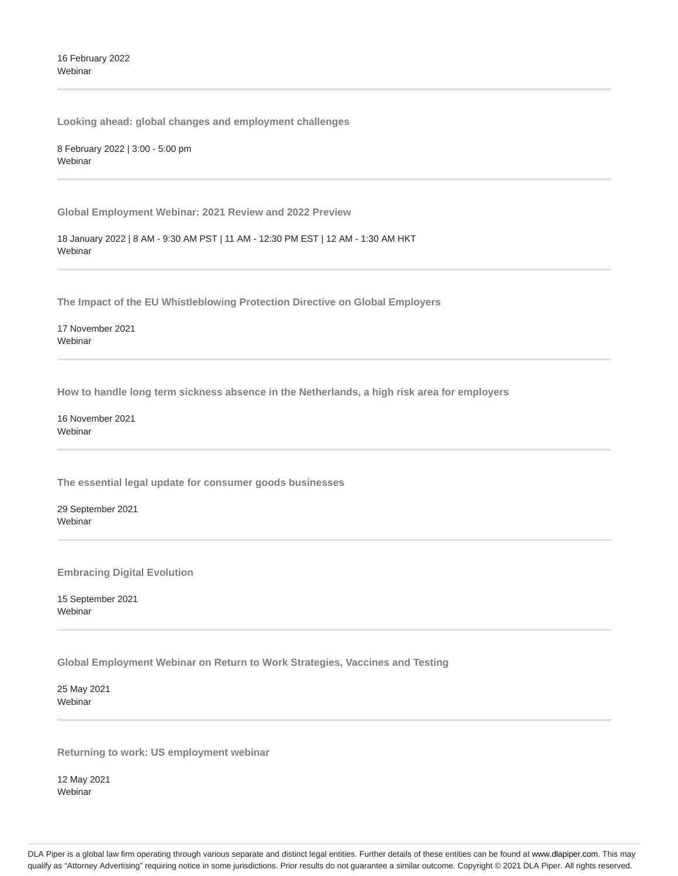16 February 2022 Webinar

**Looking ahead: global changes and employment challenges**

8 February 2022 | 3:00 - 5:00 pm **Webinar** 

**Global Employment Webinar: 2021 Review and 2022 Preview**

18 January 2022 | 8 AM - 9:30 AM PST | 11 AM - 12:30 PM EST | 12 AM - 1:30 AM HKT Webinar

**The Impact of the EU Whistleblowing Protection Directive on Global Employers**

17 November 2021 **Webinar** 

**How to handle long term sickness absence in the Netherlands, a high risk area for employers**

16 November 2021 **Webinar** 

**The essential legal update for consumer goods businesses**

29 September 2021 Webinar

**Embracing Digital Evolution**

15 September 2021 Webinar

**Global Employment Webinar on Return to Work Strategies, Vaccines and Testing**

25 May 2021 **Webinar** 

**Returning to work: US employment webinar**

12 May 2021 Webinar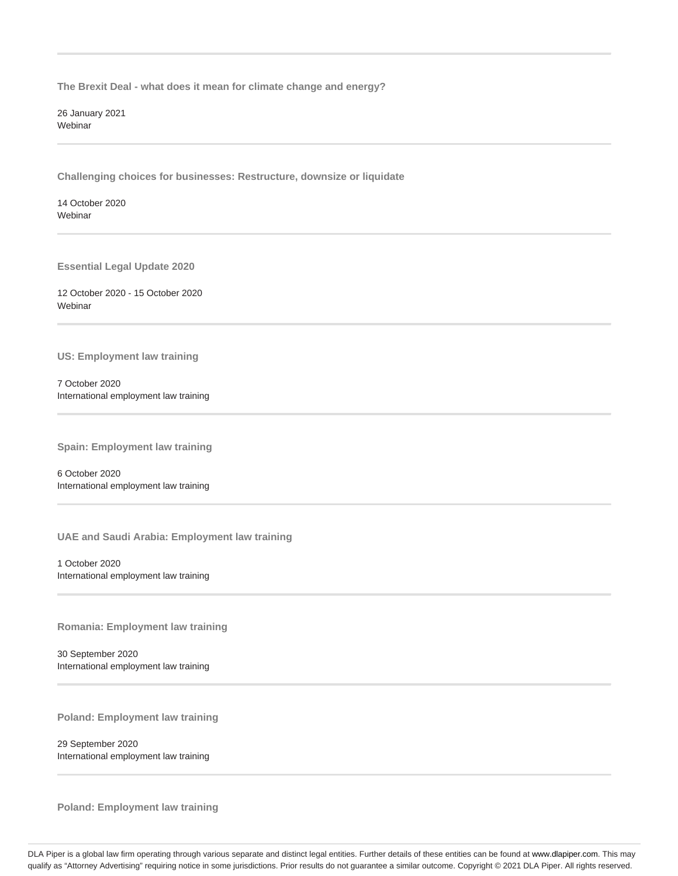**The Brexit Deal - what does it mean for climate change and energy?**

26 January 2021 **Webinar** 

**Challenging choices for businesses: Restructure, downsize or liquidate**

14 October 2020 **Webinar** 

**Essential Legal Update 2020**

12 October 2020 - 15 October 2020 Webinar

**US: Employment law training**

7 October 2020 International employment law training

**Spain: Employment law training**

6 October 2020 International employment law training

**UAE and Saudi Arabia: Employment law training**

1 October 2020 International employment law training

**Romania: Employment law training**

30 September 2020 International employment law training

**Poland: Employment law training**

29 September 2020 International employment law training

**Poland: Employment law training**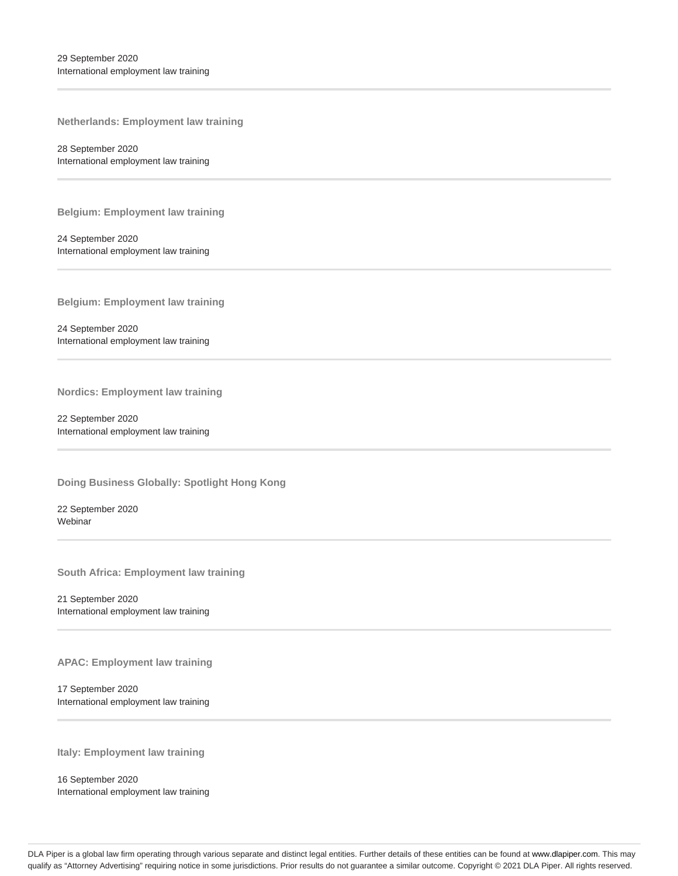**Netherlands: Employment law training**

28 September 2020 International employment law training

**Belgium: Employment law training**

24 September 2020 International employment law training

**Belgium: Employment law training**

24 September 2020 International employment law training

**Nordics: Employment law training**

22 September 2020 International employment law training

**Doing Business Globally: Spotlight Hong Kong**

22 September 2020 Webinar

**South Africa: Employment law training**

21 September 2020 International employment law training

**APAC: Employment law training**

17 September 2020 International employment law training

**Italy: Employment law training**

16 September 2020 International employment law training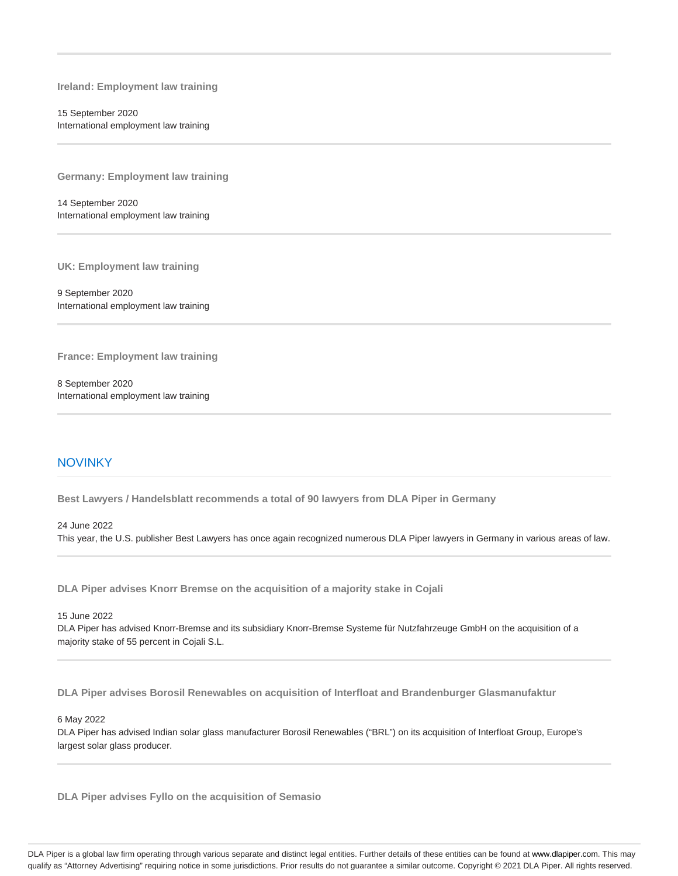**Ireland: Employment law training**

15 September 2020 International employment law training

**Germany: Employment law training**

14 September 2020 International employment law training

**UK: Employment law training**

9 September 2020 International employment law training

**France: Employment law training**

8 September 2020 International employment law training

# **NOVINKY**

**Best Lawyers / Handelsblatt recommends a total of 90 lawyers from DLA Piper in Germany**

#### 24 June 2022

This year, the U.S. publisher Best Lawyers has once again recognized numerous DLA Piper lawyers in Germany in various areas of law.

**DLA Piper advises Knorr Bremse on the acquisition of a majority stake in Cojali**

15 June 2022

DLA Piper has advised Knorr-Bremse and its subsidiary Knorr-Bremse Systeme für Nutzfahrzeuge GmbH on the acquisition of a majority stake of 55 percent in Cojali S.L.

**DLA Piper advises Borosil Renewables on acquisition of Interfloat and Brandenburger Glasmanufaktur**

#### 6 May 2022

DLA Piper has advised Indian solar glass manufacturer Borosil Renewables ("BRL") on its acquisition of Interfloat Group, Europe's largest solar glass producer.

**DLA Piper advises Fyllo on the acquisition of Semasio**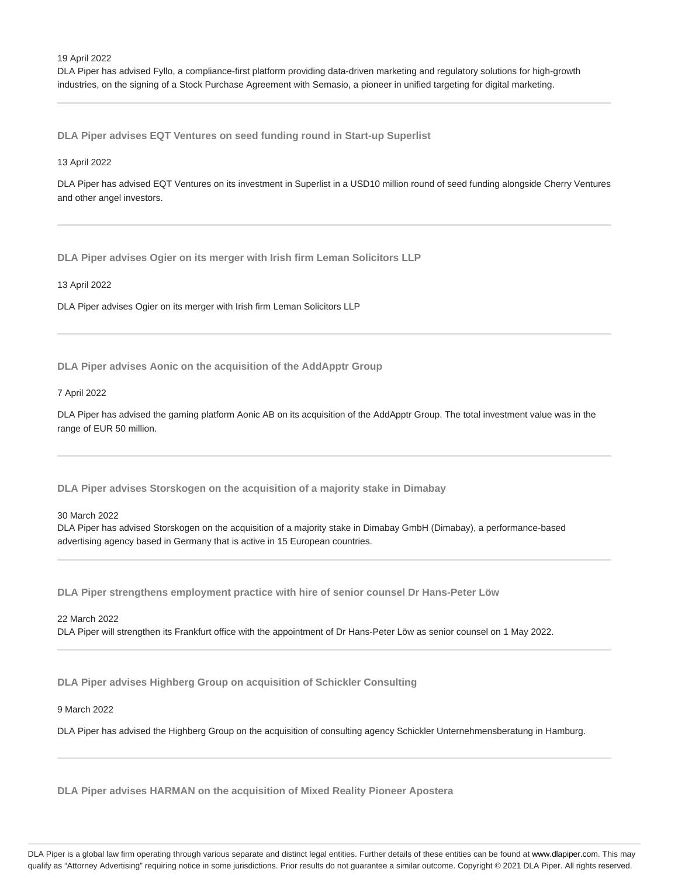DLA Piper has advised Fyllo, a compliance-first platform providing data-driven marketing and regulatory solutions for high-growth industries, on the signing of a Stock Purchase Agreement with Semasio, a pioneer in unified targeting for digital marketing.

**DLA Piper advises EQT Ventures on seed funding round in Start-up Superlist**

#### 13 April 2022

DLA Piper has advised EQT Ventures on its investment in Superlist in a USD10 million round of seed funding alongside Cherry Ventures and other angel investors.

**DLA Piper advises Ogier on its merger with Irish firm Leman Solicitors LLP**

13 April 2022

DLA Piper advises Ogier on its merger with Irish firm Leman Solicitors LLP

**DLA Piper advises Aonic on the acquisition of the AddApptr Group**

#### 7 April 2022

DLA Piper has advised the gaming platform Aonic AB on its acquisition of the AddApptr Group. The total investment value was in the range of EUR 50 million.

**DLA Piper advises Storskogen on the acquisition of a majority stake in Dimabay**

30 March 2022

DLA Piper has advised Storskogen on the acquisition of a majority stake in Dimabay GmbH (Dimabay), a performance-based advertising agency based in Germany that is active in 15 European countries.

**DLA Piper strengthens employment practice with hire of senior counsel Dr Hans-Peter Löw**

22 March 2022 DLA Piper will strengthen its Frankfurt office with the appointment of Dr Hans-Peter Löw as senior counsel on 1 May 2022.

**DLA Piper advises Highberg Group on acquisition of Schickler Consulting**

## 9 March 2022

DLA Piper has advised the Highberg Group on the acquisition of consulting agency Schickler Unternehmensberatung in Hamburg.

**DLA Piper advises HARMAN on the acquisition of Mixed Reality Pioneer Apostera**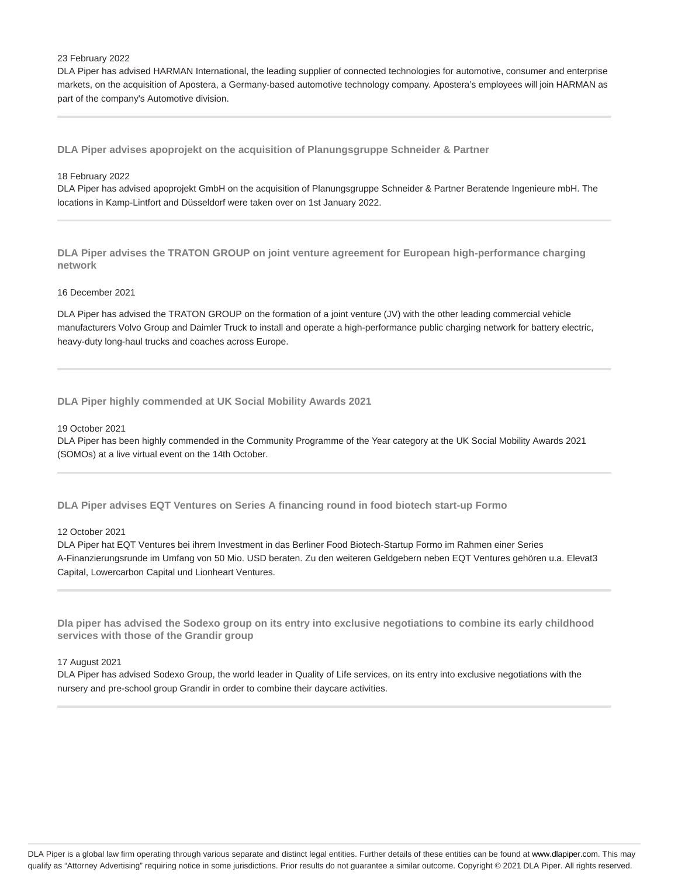#### 23 February 2022

DLA Piper has advised HARMAN International, the leading supplier of connected technologies for automotive, consumer and enterprise markets, on the acquisition of Apostera, a Germany-based automotive technology company. Apostera's employees will join HARMAN as part of the company's Automotive division.

**DLA Piper advises apoprojekt on the acquisition of Planungsgruppe Schneider & Partner**

#### 18 February 2022

DLA Piper has advised apoprojekt GmbH on the acquisition of Planungsgruppe Schneider & Partner Beratende Ingenieure mbH. The locations in Kamp-Lintfort and Düsseldorf were taken over on 1st January 2022.

**DLA Piper advises the TRATON GROUP on joint venture agreement for European high-performance charging network**

#### 16 December 2021

DLA Piper has advised the TRATON GROUP on the formation of a joint venture (JV) with the other leading commercial vehicle manufacturers Volvo Group and Daimler Truck to install and operate a high-performance public charging network for battery electric, heavy-duty long-haul trucks and coaches across Europe.

## **DLA Piper highly commended at UK Social Mobility Awards 2021**

#### 19 October 2021

DLA Piper has been highly commended in the Community Programme of the Year category at the UK Social Mobility Awards 2021 (SOMOs) at a live virtual event on the 14th October.

**DLA Piper advises EQT Ventures on Series A financing round in food biotech start-up Formo**

#### 12 October 2021

DLA Piper hat EQT Ventures bei ihrem Investment in das Berliner Food Biotech-Startup Formo im Rahmen einer Series A-Finanzierungsrunde im Umfang von 50 Mio. USD beraten. Zu den weiteren Geldgebern neben EQT Ventures gehören u.a. Elevat3 Capital, Lowercarbon Capital und Lionheart Ventures.

**Dla piper has advised the Sodexo group on its entry into exclusive negotiations to combine its early childhood services with those of the Grandir group**

#### 17 August 2021

DLA Piper has advised Sodexo Group, the world leader in Quality of Life services, on its entry into exclusive negotiations with the nursery and pre-school group Grandir in order to combine their daycare activities.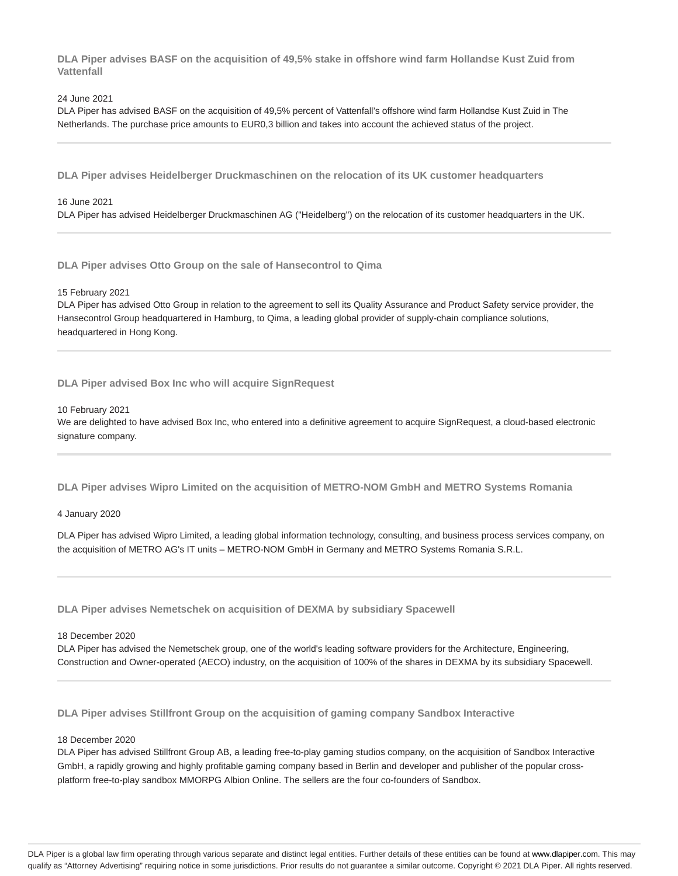**DLA Piper advises BASF on the acquisition of 49,5% stake in offshore wind farm Hollandse Kust Zuid from Vattenfall**

#### 24 June 2021

DLA Piper has advised BASF on the acquisition of 49,5% percent of Vattenfall's offshore wind farm Hollandse Kust Zuid in The Netherlands. The purchase price amounts to EUR0,3 billion and takes into account the achieved status of the project.

**DLA Piper advises Heidelberger Druckmaschinen on the relocation of its UK customer headquarters**

#### 16 June 2021

DLA Piper has advised Heidelberger Druckmaschinen AG ("Heidelberg") on the relocation of its customer headquarters in the UK.

**DLA Piper advises Otto Group on the sale of Hansecontrol to Qima**

#### 15 February 2021

DLA Piper has advised Otto Group in relation to the agreement to sell its Quality Assurance and Product Safety service provider, the Hansecontrol Group headquartered in Hamburg, to Qima, a leading global provider of supply-chain compliance solutions, headquartered in Hong Kong.

#### **DLA Piper advised Box Inc who will acquire SignRequest**

#### 10 February 2021

We are delighted to have advised Box Inc, who entered into a definitive agreement to acquire SignRequest, a cloud-based electronic signature company.

**DLA Piper advises Wipro Limited on the acquisition of METRO-NOM GmbH and METRO Systems Romania**

#### 4 January 2020

DLA Piper has advised Wipro Limited, a leading global information technology, consulting, and business process services company, on the acquisition of METRO AG's IT units – METRO-NOM GmbH in Germany and METRO Systems Romania S.R.L.

**DLA Piper advises Nemetschek on acquisition of DEXMA by subsidiary Spacewell**

#### 18 December 2020

DLA Piper has advised the Nemetschek group, one of the world's leading software providers for the Architecture, Engineering, Construction and Owner-operated (AECO) industry, on the acquisition of 100% of the shares in DEXMA by its subsidiary Spacewell.

**DLA Piper advises Stillfront Group on the acquisition of gaming company Sandbox Interactive**

#### 18 December 2020

DLA Piper has advised Stillfront Group AB, a leading free-to-play gaming studios company, on the acquisition of Sandbox Interactive GmbH, a rapidly growing and highly profitable gaming company based in Berlin and developer and publisher of the popular crossplatform free-to-play sandbox MMORPG Albion Online. The sellers are the four co-founders of Sandbox.